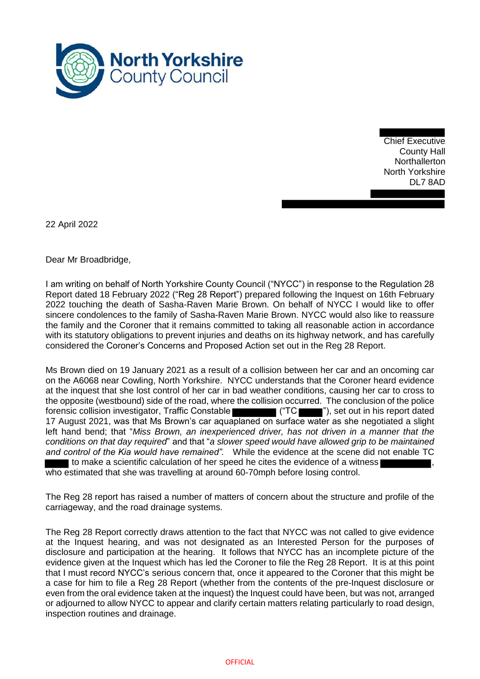

Chief Executive County Hall **Northallerton** North Yorkshire DL7 8AD

22 April 2022

Dear Mr Broadbridge,

I am writing on behalf of North Yorkshire County Council ("NYCC") in response to the Regulation 28 Report dated 18 February 2022 ("Reg 28 Report") prepared following the Inquest on 16th February 2022 touching the death of Sasha-Raven Marie Brown. On behalf of NYCC I would like to offer sincere condolences to the family of Sasha-Raven Marie Brown. NYCC would also like to reassure the family and the Coroner that it remains committed to taking all reasonable action in accordance with its statutory obligations to prevent injuries and deaths on its highway network, and has carefully considered the Coroner's Concerns and Proposed Action set out in the Reg 28 Report.

Ms Brown died on 19 January 2021 as a result of a collision between her car and an oncoming car on the A6068 near Cowling, North Yorkshire. NYCC understands that the Coroner heard evidence at the inquest that she lost control of her car in bad weather conditions, causing her car to cross to the opposite (westbound) side of the road, where the collision occurred. The conclusion of the police forensic collision investigator, Traffic Constable ("TC ""), set out in his report dated 17 August 2021, was that Ms Brown's car aquaplaned on surface water as she negotiated a slight left hand bend; that "*Miss Brown, an inexperienced driver, has not driven in a manner that the conditions on that day required*" and that "*a slower speed would have allowed grip to be maintained and control of the Kia would have remained".* While the evidence at the scene did not enable TC to make a scientific calculation of her speed he cites the evidence of a witness

who estimated that she was travelling at around 60-70mph before losing control.

The Reg 28 report has raised a number of matters of concern about the structure and profile of the carriageway, and the road drainage systems.

The Reg 28 Report correctly draws attention to the fact that NYCC was not called to give evidence at the Inquest hearing, and was not designated as an Interested Person for the purposes of disclosure and participation at the hearing. It follows that NYCC has an incomplete picture of the evidence given at the Inquest which has led the Coroner to file the Reg 28 Report. It is at this point that I must record NYCC's serious concern that, once it appeared to the Coroner that this might be a case for him to file a Reg 28 Report (whether from the contents of the pre-Inquest disclosure or even from the oral evidence taken at the inquest) the Inquest could have been, but was not, arranged or adjourned to allow NYCC to appear and clarify certain matters relating particularly to road design, inspection routines and drainage.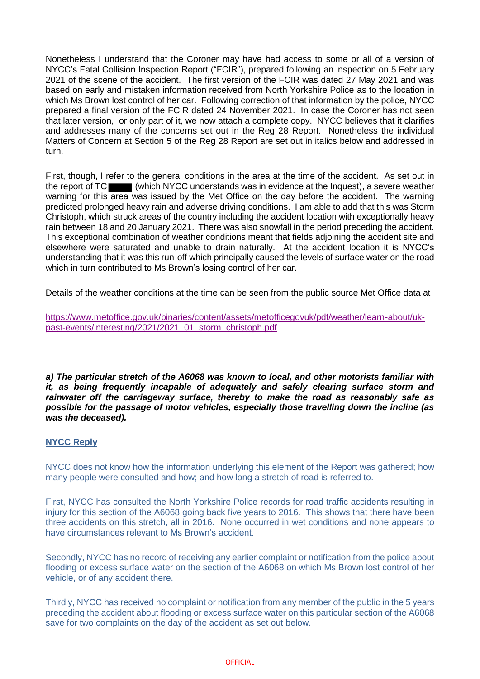Nonetheless I understand that the Coroner may have had access to some or all of a version of NYCC's Fatal Collision Inspection Report ("FCIR"), prepared following an inspection on 5 February 2021 of the scene of the accident. The first version of the FCIR was dated 27 May 2021 and was based on early and mistaken information received from North Yorkshire Police as to the location in which Ms Brown lost control of her car. Following correction of that information by the police, NYCC prepared a final version of the FCIR dated 24 November 2021. In case the Coroner has not seen that later version, or only part of it, we now attach a complete copy. NYCC believes that it clarifies and addresses many of the concerns set out in the Reg 28 Report. Nonetheless the individual Matters of Concern at Section 5 of the Reg 28 Report are set out in italics below and addressed in turn.

First, though, I refer to the general conditions in the area at the time of the accident. As set out in the report of TC (which NYCC understands was in evidence at the Inquest), a severe weather warning for this area was issued by the Met Office on the day before the accident. The warning predicted prolonged heavy rain and adverse driving conditions. I am able to add that this was Storm Christoph, which struck areas of the country including the accident location with exceptionally heavy rain between 18 and 20 January 2021. There was also snowfall in the period preceding the accident. This exceptional combination of weather conditions meant that fields adjoining the accident site and elsewhere were saturated and unable to drain naturally. At the accident location it is NYCC's understanding that it was this run-off which principally caused the levels of surface water on the road which in turn contributed to Ms Brown's losing control of her car.

Details of the weather conditions at the time can be seen from the public source Met Office data at

[https://www.metoffice.gov.uk/binaries/content/assets/metofficegovuk/pdf/weather/learn-about/uk](https://www.metoffice.gov.uk/binaries/content/assets/metofficegovuk/pdf/weather/learn-about/uk-past-events/interesting/2021/2021_01_storm_christoph.pdf)[past-events/interesting/2021/2021\\_01\\_storm\\_christoph.pdf](https://www.metoffice.gov.uk/binaries/content/assets/metofficegovuk/pdf/weather/learn-about/uk-past-events/interesting/2021/2021_01_storm_christoph.pdf)

*a) The particular stretch of the A6068 was known to local, and other motorists familiar with it, as being frequently incapable of adequately and safely clearing surface storm and rainwater off the carriageway surface, thereby to make the road as reasonably safe as possible for the passage of motor vehicles, especially those travelling down the incline (as was the deceased).* 

# **NYCC Reply**

NYCC does not know how the information underlying this element of the Report was gathered; how many people were consulted and how; and how long a stretch of road is referred to.

First, NYCC has consulted the North Yorkshire Police records for road traffic accidents resulting in injury for this section of the A6068 going back five years to 2016. This shows that there have been three accidents on this stretch, all in 2016. None occurred in wet conditions and none appears to have circumstances relevant to Ms Brown's accident.

Secondly, NYCC has no record of receiving any earlier complaint or notification from the police about flooding or excess surface water on the section of the A6068 on which Ms Brown lost control of her vehicle, or of any accident there.

Thirdly, NYCC has received no complaint or notification from any member of the public in the 5 years preceding the accident about flooding or excess surface water on this particular section of the A6068 save for two complaints on the day of the accident as set out below.

## **OFFICIAL**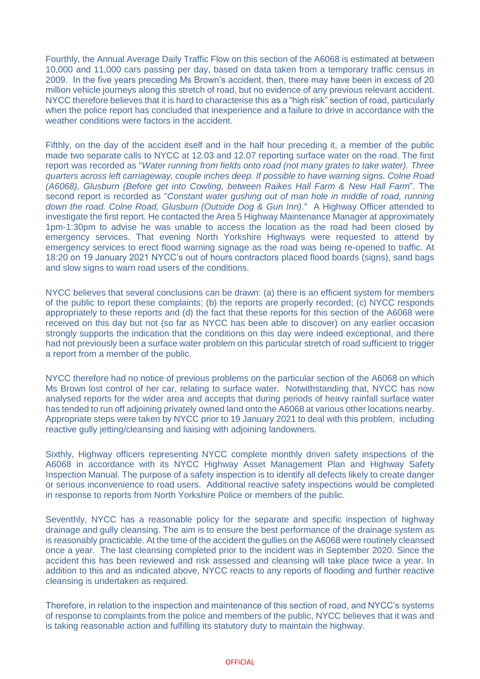Fourthly, the Annual Average Daily Traffic Flow on this section of the A6068 is estimated at between 10,000 and 11,000 cars passing per day, based on data taken from a temporary traffic census in 2009. In the five years preceding Ms Brown's accident, then, there may have been in excess of 20 million vehicle journeys along this stretch of road, but no evidence of any previous relevant accident. NYCC therefore believes that it is hard to characterise this as a "high risk" section of road, particularly when the police report has concluded that inexperience and a failure to drive in accordance with the weather conditions were factors in the accident.

Fifthly, on the day of the accident itself and in the half hour preceding it, a member of the public made two separate calls to NYCC at 12.03 and 12.07 reporting surface water on the road. The first report was recorded as "*Water running from fields onto road (not many grates to take water). Three quarters across left carriageway, couple inches deep. If possible to have warning signs. Colne Road (A6068), Glusburn (Before get into Cowling, between Raikes Hall Farm & New Hall Farm*". The second report is recorded as "*Constant water gushing out of man hole in middle of road, running down the road. Colne Road, Glusburn (Outside Dog & Gun Inn)*." A Highway Officer attended to investigate the first report. He contacted the Area 5 Highway Maintenance Manager at approximately 1pm-1:30pm to advise he was unable to access the location as the road had been closed by emergency services. That evening North Yorkshire Highways were requested to attend by emergency services to erect flood warning signage as the road was being re-opened to traffic. At 18:20 on 19 January 2021 NYCC's out of hours contractors placed flood boards (signs), sand bags and slow signs to warn road users of the conditions.

NYCC believes that several conclusions can be drawn: (a) there is an efficient system for members of the public to report these complaints; (b) the reports are properly recorded; (c) NYCC responds appropriately to these reports and (d) the fact that these reports for this section of the A6068 were received on this day but not (so far as NYCC has been able to discover) on any earlier occasion strongly supports the indication that the conditions on this day were indeed exceptional, and there had not previously been a surface water problem on this particular stretch of road sufficient to trigger a report from a member of the public.

NYCC therefore had no notice of previous problems on the particular section of the A6068 on which Ms Brown lost control of her car, relating to surface water. Notwithstanding that, NYCC has now analysed reports for the wider area and accepts that during periods of heavy rainfall surface water has tended to run off adjoining privately owned land onto the A6068 at various other locations nearby. Appropriate steps were taken by NYCC prior to 19 January 2021 to deal with this problem, including reactive gully jetting/cleansing and liaising with adjoining landowners.

Sixthly, Highway officers representing NYCC complete monthly driven safety inspections of the A6068 in accordance with its NYCC Highway Asset Management Plan and Highway Safety Inspection Manual. The purpose of a safety inspection is to identify all defects likely to create danger or serious inconvenience to road users. Additional reactive safety inspections would be completed in response to reports from North Yorkshire Police or members of the public.

Seventhly, NYCC has a reasonable policy for the separate and specific inspection of highway drainage and gully cleansing. The aim is to ensure the best performance of the drainage system as is reasonably practicable. At the time of the accident the gullies on the A6068 were routinely cleansed once a year. The last cleansing completed prior to the incident was in September 2020. Since the accident this has been reviewed and risk assessed and cleansing will take place twice a year. In addition to this and as indicated above, NYCC reacts to any reports of flooding and further reactive cleansing is undertaken as required.

Therefore, in relation to the inspection and maintenance of this section of road, and NYCC's systems of response to complaints from the police and members of the public, NYCC believes that it was and is taking reasonable action and fulfilling its statutory duty to maintain the highway.

### **OFFICIAL**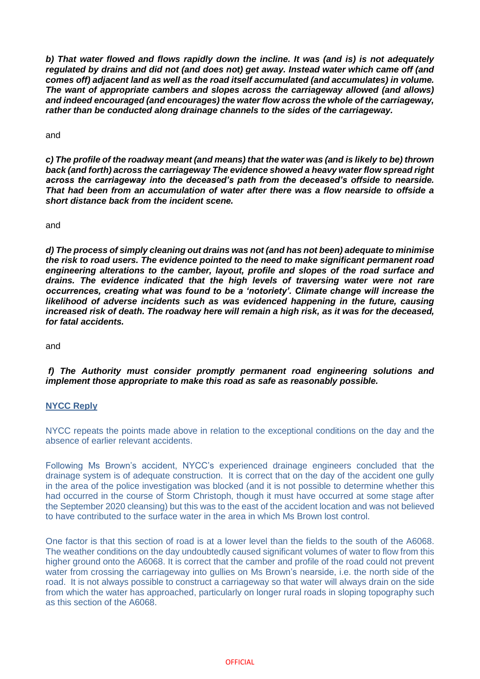*b) That water flowed and flows rapidly down the incline. It was (and is) is not adequately regulated by drains and did not (and does not) get away. Instead water which came off (and comes off) adjacent land as well as the road itself accumulated (and accumulates) in volume. The want of appropriate cambers and slopes across the carriageway allowed (and allows) and indeed encouraged (and encourages) the water flow across the whole of the carriageway, rather than be conducted along drainage channels to the sides of the carriageway.*

and

*c) The profile of the roadway meant (and means) that the water was (and is likely to be) thrown back (and forth) across the carriageway The evidence showed a heavy water flow spread right across the carriageway into the deceased's path from the deceased's offside to nearside. That had been from an accumulation of water after there was a flow nearside to offside a short distance back from the incident scene.* 

and

*d) The process of simply cleaning out drains was not (and has not been) adequate to minimise the risk to road users. The evidence pointed to the need to make significant permanent road engineering alterations to the camber, layout, profile and slopes of the road surface and drains. The evidence indicated that the high levels of traversing water were not rare occurrences, creating what was found to be a 'notoriety'. Climate change will increase the likelihood of adverse incidents such as was evidenced happening in the future, causing increased risk of death. The roadway here will remain a high risk, as it was for the deceased, for fatal accidents.*

and

*f) The Authority must consider promptly permanent road engineering solutions and implement those appropriate to make this road as safe as reasonably possible.*

# **NYCC Reply**

NYCC repeats the points made above in relation to the exceptional conditions on the day and the absence of earlier relevant accidents.

Following Ms Brown's accident, NYCC's experienced drainage engineers concluded that the drainage system is of adequate construction. It is correct that on the day of the accident one gully in the area of the police investigation was blocked (and it is not possible to determine whether this had occurred in the course of Storm Christoph, though it must have occurred at some stage after the September 2020 cleansing) but this was to the east of the accident location and was not believed to have contributed to the surface water in the area in which Ms Brown lost control.

One factor is that this section of road is at a lower level than the fields to the south of the A6068. The weather conditions on the day undoubtedly caused significant volumes of water to flow from this higher ground onto the A6068. It is correct that the camber and profile of the road could not prevent water from crossing the carriageway into gullies on Ms Brown's nearside, i.e. the north side of the road. It is not always possible to construct a carriageway so that water will always drain on the side from which the water has approached, particularly on longer rural roads in sloping topography such as this section of the A6068.